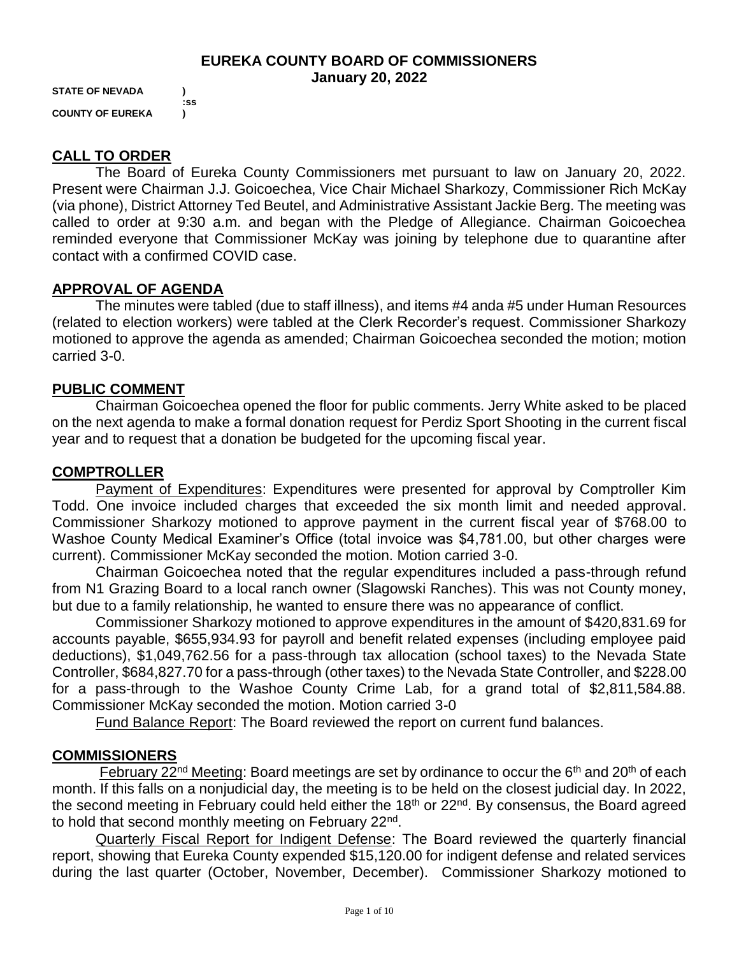#### **EUREKA COUNTY BOARD OF COMMISSIONERS January 20, 2022**

**STATE OF NEVADA ) :ss COUNTY OF EUREKA )**

## **CALL TO ORDER**

The Board of Eureka County Commissioners met pursuant to law on January 20, 2022. Present were Chairman J.J. Goicoechea, Vice Chair Michael Sharkozy, Commissioner Rich McKay (via phone), District Attorney Ted Beutel, and Administrative Assistant Jackie Berg. The meeting was called to order at 9:30 a.m. and began with the Pledge of Allegiance. Chairman Goicoechea reminded everyone that Commissioner McKay was joining by telephone due to quarantine after contact with a confirmed COVID case.

## **APPROVAL OF AGENDA**

The minutes were tabled (due to staff illness), and items #4 anda #5 under Human Resources (related to election workers) were tabled at the Clerk Recorder's request. Commissioner Sharkozy motioned to approve the agenda as amended; Chairman Goicoechea seconded the motion; motion carried 3-0.

## **PUBLIC COMMENT**

Chairman Goicoechea opened the floor for public comments. Jerry White asked to be placed on the next agenda to make a formal donation request for Perdiz Sport Shooting in the current fiscal year and to request that a donation be budgeted for the upcoming fiscal year.

## **COMPTROLLER**

Payment of Expenditures: Expenditures were presented for approval by Comptroller Kim Todd. One invoice included charges that exceeded the six month limit and needed approval. Commissioner Sharkozy motioned to approve payment in the current fiscal year of \$768.00 to Washoe County Medical Examiner's Office (total invoice was \$4,781.00, but other charges were current). Commissioner McKay seconded the motion. Motion carried 3-0.

Chairman Goicoechea noted that the regular expenditures included a pass-through refund from N1 Grazing Board to a local ranch owner (Slagowski Ranches). This was not County money, but due to a family relationship, he wanted to ensure there was no appearance of conflict.

Commissioner Sharkozy motioned to approve expenditures in the amount of \$420,831.69 for accounts payable, \$655,934.93 for payroll and benefit related expenses (including employee paid deductions), \$1,049,762.56 for a pass-through tax allocation (school taxes) to the Nevada State Controller, \$684,827.70 for a pass-through (other taxes) to the Nevada State Controller, and \$228.00 for a pass-through to the Washoe County Crime Lab, for a grand total of \$2,811,584.88. Commissioner McKay seconded the motion. Motion carried 3-0

Fund Balance Report: The Board reviewed the report on current fund balances.

## **COMMISSIONERS**

February 22<sup>nd</sup> Meeting: Board meetings are set by ordinance to occur the  $6<sup>th</sup>$  and 20<sup>th</sup> of each month. If this falls on a nonjudicial day, the meeting is to be held on the closest judicial day. In 2022, the second meeting in February could held either the 18<sup>th</sup> or 22<sup>nd</sup>. By consensus, the Board agreed to hold that second monthly meeting on February 22<sup>nd</sup>.

Quarterly Fiscal Report for Indigent Defense: The Board reviewed the quarterly financial report, showing that Eureka County expended \$15,120.00 for indigent defense and related services during the last quarter (October, November, December). Commissioner Sharkozy motioned to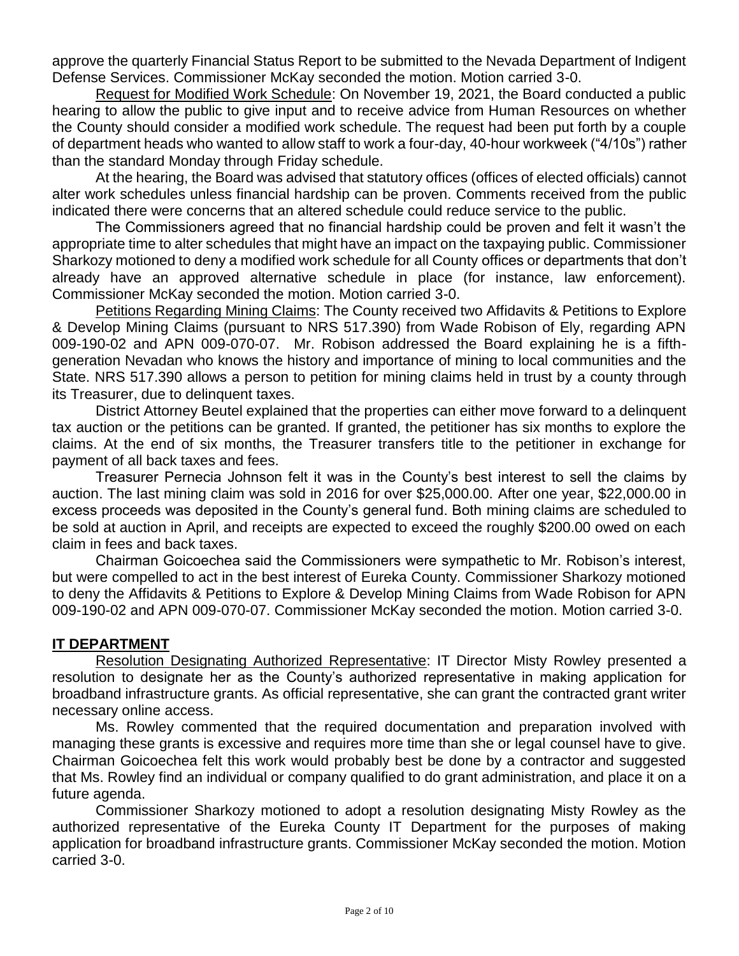approve the quarterly Financial Status Report to be submitted to the Nevada Department of Indigent Defense Services. Commissioner McKay seconded the motion. Motion carried 3-0.

Request for Modified Work Schedule: On November 19, 2021, the Board conducted a public hearing to allow the public to give input and to receive advice from Human Resources on whether the County should consider a modified work schedule. The request had been put forth by a couple of department heads who wanted to allow staff to work a four-day, 40-hour workweek ("4/10s") rather than the standard Monday through Friday schedule.

At the hearing, the Board was advised that statutory offices (offices of elected officials) cannot alter work schedules unless financial hardship can be proven. Comments received from the public indicated there were concerns that an altered schedule could reduce service to the public.

The Commissioners agreed that no financial hardship could be proven and felt it wasn't the appropriate time to alter schedules that might have an impact on the taxpaying public. Commissioner Sharkozy motioned to deny a modified work schedule for all County offices or departments that don't already have an approved alternative schedule in place (for instance, law enforcement). Commissioner McKay seconded the motion. Motion carried 3-0.

Petitions Regarding Mining Claims: The County received two Affidavits & Petitions to Explore & Develop Mining Claims (pursuant to NRS 517.390) from Wade Robison of Ely, regarding APN 009-190-02 and APN 009-070-07. Mr. Robison addressed the Board explaining he is a fifthgeneration Nevadan who knows the history and importance of mining to local communities and the State. NRS 517.390 allows a person to petition for mining claims held in trust by a county through its Treasurer, due to delinquent taxes.

District Attorney Beutel explained that the properties can either move forward to a delinquent tax auction or the petitions can be granted. If granted, the petitioner has six months to explore the claims. At the end of six months, the Treasurer transfers title to the petitioner in exchange for payment of all back taxes and fees.

Treasurer Pernecia Johnson felt it was in the County's best interest to sell the claims by auction. The last mining claim was sold in 2016 for over \$25,000.00. After one year, \$22,000.00 in excess proceeds was deposited in the County's general fund. Both mining claims are scheduled to be sold at auction in April, and receipts are expected to exceed the roughly \$200.00 owed on each claim in fees and back taxes.

Chairman Goicoechea said the Commissioners were sympathetic to Mr. Robison's interest, but were compelled to act in the best interest of Eureka County. Commissioner Sharkozy motioned to deny the Affidavits & Petitions to Explore & Develop Mining Claims from Wade Robison for APN 009-190-02 and APN 009-070-07. Commissioner McKay seconded the motion. Motion carried 3-0.

## **IT DEPARTMENT**

Resolution Designating Authorized Representative: IT Director Misty Rowley presented a resolution to designate her as the County's authorized representative in making application for broadband infrastructure grants. As official representative, she can grant the contracted grant writer necessary online access.

Ms. Rowley commented that the required documentation and preparation involved with managing these grants is excessive and requires more time than she or legal counsel have to give. Chairman Goicoechea felt this work would probably best be done by a contractor and suggested that Ms. Rowley find an individual or company qualified to do grant administration, and place it on a future agenda.

Commissioner Sharkozy motioned to adopt a resolution designating Misty Rowley as the authorized representative of the Eureka County IT Department for the purposes of making application for broadband infrastructure grants. Commissioner McKay seconded the motion. Motion carried 3-0.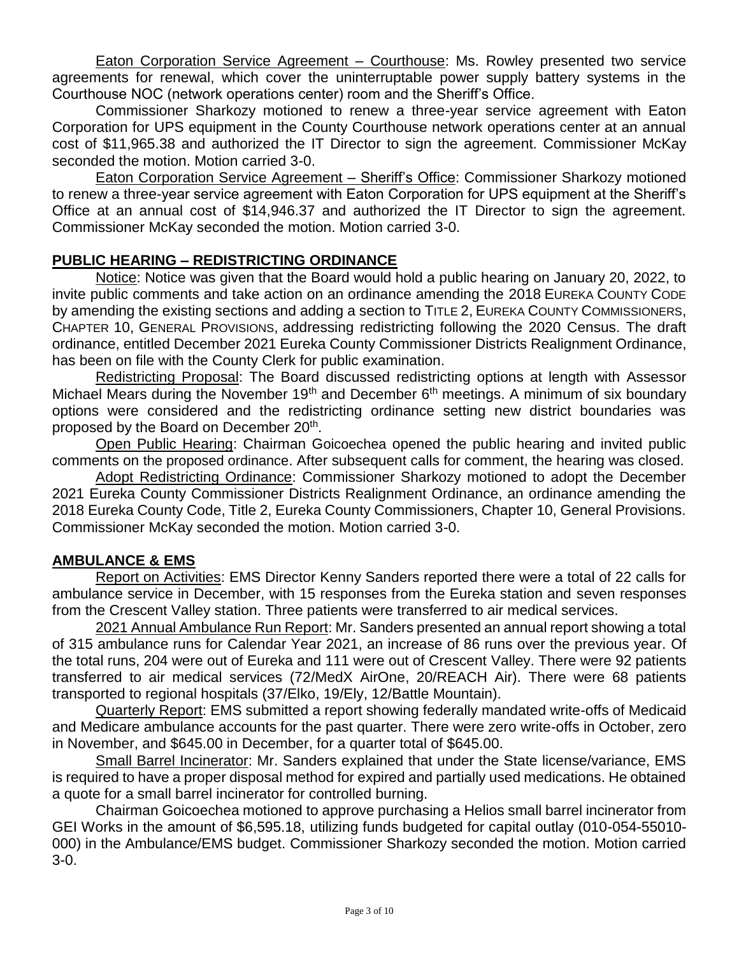Eaton Corporation Service Agreement – Courthouse: Ms. Rowley presented two service agreements for renewal, which cover the uninterruptable power supply battery systems in the Courthouse NOC (network operations center) room and the Sheriff's Office.

Commissioner Sharkozy motioned to renew a three-year service agreement with Eaton Corporation for UPS equipment in the County Courthouse network operations center at an annual cost of \$11,965.38 and authorized the IT Director to sign the agreement. Commissioner McKay seconded the motion. Motion carried 3-0.

Eaton Corporation Service Agreement – Sheriff's Office: Commissioner Sharkozy motioned to renew a three-year service agreement with Eaton Corporation for UPS equipment at the Sheriff's Office at an annual cost of \$14,946.37 and authorized the IT Director to sign the agreement. Commissioner McKay seconded the motion. Motion carried 3-0.

## **PUBLIC HEARING – REDISTRICTING ORDINANCE**

Notice: Notice was given that the Board would hold a public hearing on January 20, 2022, to invite public comments and take action on an ordinance amending the 2018 EUREKA COUNTY CODE by amending the existing sections and adding a section to TITLE 2, EUREKA COUNTY COMMISSIONERS, CHAPTER 10, GENERAL PROVISIONS, addressing redistricting following the 2020 Census. The draft ordinance, entitled December 2021 Eureka County Commissioner Districts Realignment Ordinance, has been on file with the County Clerk for public examination.

Redistricting Proposal: The Board discussed redistricting options at length with Assessor Michael Mears during the November 19<sup>th</sup> and December  $6<sup>th</sup>$  meetings. A minimum of six boundary options were considered and the redistricting ordinance setting new district boundaries was proposed by the Board on December 20<sup>th</sup>.

Open Public Hearing: Chairman Goicoechea opened the public hearing and invited public comments on the proposed ordinance. After subsequent calls for comment, the hearing was closed.

Adopt Redistricting Ordinance: Commissioner Sharkozy motioned to adopt the December 2021 Eureka County Commissioner Districts Realignment Ordinance, an ordinance amending the 2018 Eureka County Code, Title 2, Eureka County Commissioners, Chapter 10, General Provisions. Commissioner McKay seconded the motion. Motion carried 3-0.

# **AMBULANCE & EMS**

Report on Activities: EMS Director Kenny Sanders reported there were a total of 22 calls for ambulance service in December, with 15 responses from the Eureka station and seven responses from the Crescent Valley station. Three patients were transferred to air medical services.

2021 Annual Ambulance Run Report: Mr. Sanders presented an annual report showing a total of 315 ambulance runs for Calendar Year 2021, an increase of 86 runs over the previous year. Of the total runs, 204 were out of Eureka and 111 were out of Crescent Valley. There were 92 patients transferred to air medical services (72/MedX AirOne, 20/REACH Air). There were 68 patients transported to regional hospitals (37/Elko, 19/Ely, 12/Battle Mountain).

Quarterly Report: EMS submitted a report showing federally mandated write-offs of Medicaid and Medicare ambulance accounts for the past quarter. There were zero write-offs in October, zero in November, and \$645.00 in December, for a quarter total of \$645.00.

Small Barrel Incinerator: Mr. Sanders explained that under the State license/variance, EMS is required to have a proper disposal method for expired and partially used medications. He obtained a quote for a small barrel incinerator for controlled burning.

Chairman Goicoechea motioned to approve purchasing a Helios small barrel incinerator from GEI Works in the amount of \$6,595.18, utilizing funds budgeted for capital outlay (010-054-55010- 000) in the Ambulance/EMS budget. Commissioner Sharkozy seconded the motion. Motion carried 3-0.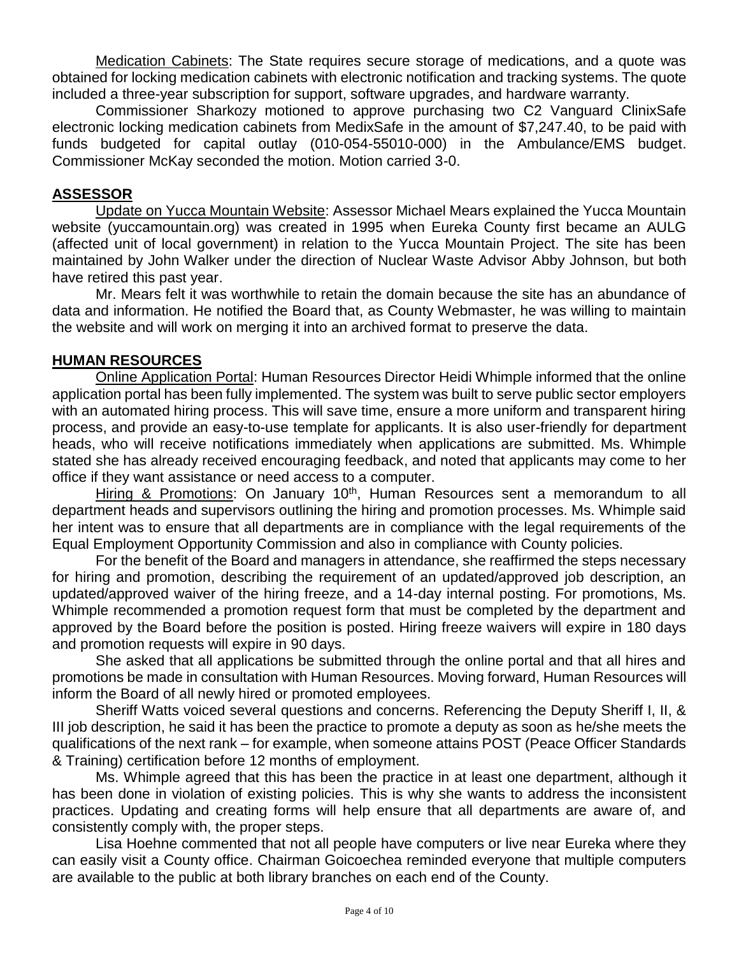Medication Cabinets: The State requires secure storage of medications, and a quote was obtained for locking medication cabinets with electronic notification and tracking systems. The quote included a three-year subscription for support, software upgrades, and hardware warranty.

Commissioner Sharkozy motioned to approve purchasing two C2 Vanguard ClinixSafe electronic locking medication cabinets from MedixSafe in the amount of \$7,247.40, to be paid with funds budgeted for capital outlay (010-054-55010-000) in the Ambulance/EMS budget. Commissioner McKay seconded the motion. Motion carried 3-0.

### **ASSESSOR**

Update on Yucca Mountain Website: Assessor Michael Mears explained the Yucca Mountain website (yuccamountain.org) was created in 1995 when Eureka County first became an AULG (affected unit of local government) in relation to the Yucca Mountain Project. The site has been maintained by John Walker under the direction of Nuclear Waste Advisor Abby Johnson, but both have retired this past year.

Mr. Mears felt it was worthwhile to retain the domain because the site has an abundance of data and information. He notified the Board that, as County Webmaster, he was willing to maintain the website and will work on merging it into an archived format to preserve the data.

#### **HUMAN RESOURCES**

Online Application Portal: Human Resources Director Heidi Whimple informed that the online application portal has been fully implemented. The system was built to serve public sector employers with an automated hiring process. This will save time, ensure a more uniform and transparent hiring process, and provide an easy-to-use template for applicants. It is also user-friendly for department heads, who will receive notifications immediately when applications are submitted. Ms. Whimple stated she has already received encouraging feedback, and noted that applicants may come to her office if they want assistance or need access to a computer.

Hiring & Promotions: On January 10<sup>th</sup>, Human Resources sent a memorandum to all department heads and supervisors outlining the hiring and promotion processes. Ms. Whimple said her intent was to ensure that all departments are in compliance with the legal requirements of the Equal Employment Opportunity Commission and also in compliance with County policies.

For the benefit of the Board and managers in attendance, she reaffirmed the steps necessary for hiring and promotion, describing the requirement of an updated/approved job description, an updated/approved waiver of the hiring freeze, and a 14-day internal posting. For promotions, Ms. Whimple recommended a promotion request form that must be completed by the department and approved by the Board before the position is posted. Hiring freeze waivers will expire in 180 days and promotion requests will expire in 90 days.

She asked that all applications be submitted through the online portal and that all hires and promotions be made in consultation with Human Resources. Moving forward, Human Resources will inform the Board of all newly hired or promoted employees.

Sheriff Watts voiced several questions and concerns. Referencing the Deputy Sheriff I, II, & III job description, he said it has been the practice to promote a deputy as soon as he/she meets the qualifications of the next rank – for example, when someone attains POST (Peace Officer Standards & Training) certification before 12 months of employment.

Ms. Whimple agreed that this has been the practice in at least one department, although it has been done in violation of existing policies. This is why she wants to address the inconsistent practices. Updating and creating forms will help ensure that all departments are aware of, and consistently comply with, the proper steps.

Lisa Hoehne commented that not all people have computers or live near Eureka where they can easily visit a County office. Chairman Goicoechea reminded everyone that multiple computers are available to the public at both library branches on each end of the County.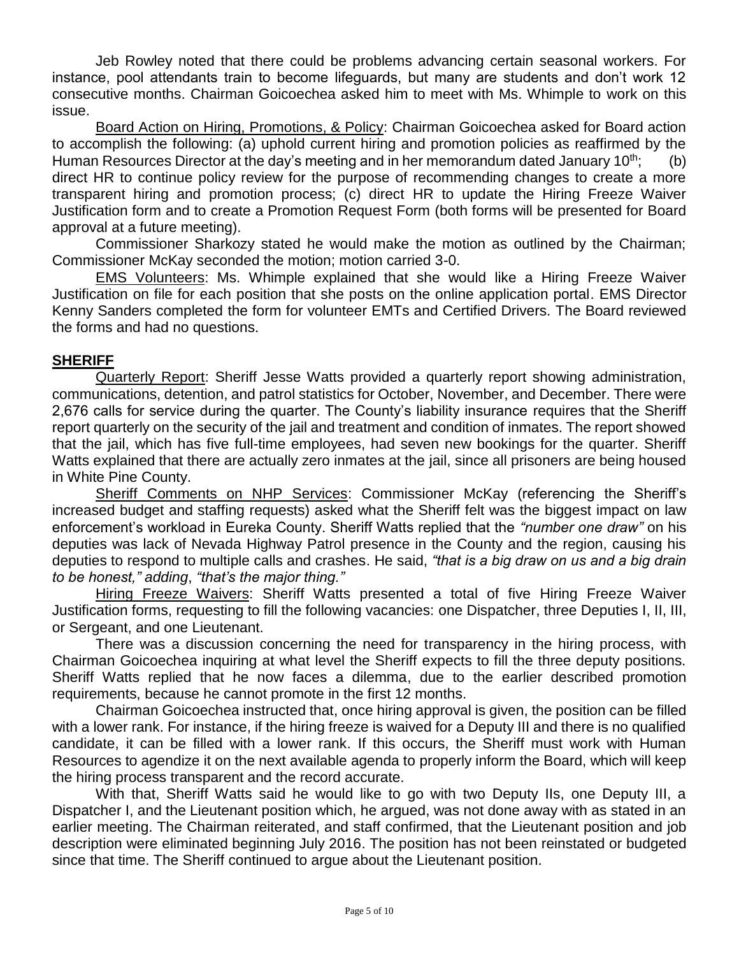Jeb Rowley noted that there could be problems advancing certain seasonal workers. For instance, pool attendants train to become lifeguards, but many are students and don't work 12 consecutive months. Chairman Goicoechea asked him to meet with Ms. Whimple to work on this issue.

Board Action on Hiring, Promotions, & Policy: Chairman Goicoechea asked for Board action to accomplish the following: (a) uphold current hiring and promotion policies as reaffirmed by the Human Resources Director at the day's meeting and in her memorandum dated January 10<sup>th</sup>; (b) direct HR to continue policy review for the purpose of recommending changes to create a more transparent hiring and promotion process; (c) direct HR to update the Hiring Freeze Waiver Justification form and to create a Promotion Request Form (both forms will be presented for Board approval at a future meeting).

Commissioner Sharkozy stated he would make the motion as outlined by the Chairman; Commissioner McKay seconded the motion; motion carried 3-0.

EMS Volunteers: Ms. Whimple explained that she would like a Hiring Freeze Waiver Justification on file for each position that she posts on the online application portal. EMS Director Kenny Sanders completed the form for volunteer EMTs and Certified Drivers. The Board reviewed the forms and had no questions.

## **SHERIFF**

Quarterly Report: Sheriff Jesse Watts provided a quarterly report showing administration, communications, detention, and patrol statistics for October, November, and December. There were 2,676 calls for service during the quarter. The County's liability insurance requires that the Sheriff report quarterly on the security of the jail and treatment and condition of inmates. The report showed that the jail, which has five full-time employees, had seven new bookings for the quarter. Sheriff Watts explained that there are actually zero inmates at the jail, since all prisoners are being housed in White Pine County.

Sheriff Comments on NHP Services: Commissioner McKay (referencing the Sheriff's increased budget and staffing requests) asked what the Sheriff felt was the biggest impact on law enforcement's workload in Eureka County. Sheriff Watts replied that the *"number one draw"* on his deputies was lack of Nevada Highway Patrol presence in the County and the region, causing his deputies to respond to multiple calls and crashes. He said, *"that is a big draw on us and a big drain to be honest," adding*, *"that's the major thing."* 

Hiring Freeze Waivers: Sheriff Watts presented a total of five Hiring Freeze Waiver Justification forms, requesting to fill the following vacancies: one Dispatcher, three Deputies I, II, III, or Sergeant, and one Lieutenant.

There was a discussion concerning the need for transparency in the hiring process, with Chairman Goicoechea inquiring at what level the Sheriff expects to fill the three deputy positions. Sheriff Watts replied that he now faces a dilemma, due to the earlier described promotion requirements, because he cannot promote in the first 12 months.

Chairman Goicoechea instructed that, once hiring approval is given, the position can be filled with a lower rank. For instance, if the hiring freeze is waived for a Deputy III and there is no qualified candidate, it can be filled with a lower rank. If this occurs, the Sheriff must work with Human Resources to agendize it on the next available agenda to properly inform the Board, which will keep the hiring process transparent and the record accurate.

With that, Sheriff Watts said he would like to go with two Deputy IIs, one Deputy III, a Dispatcher I, and the Lieutenant position which, he argued, was not done away with as stated in an earlier meeting. The Chairman reiterated, and staff confirmed, that the Lieutenant position and job description were eliminated beginning July 2016. The position has not been reinstated or budgeted since that time. The Sheriff continued to argue about the Lieutenant position.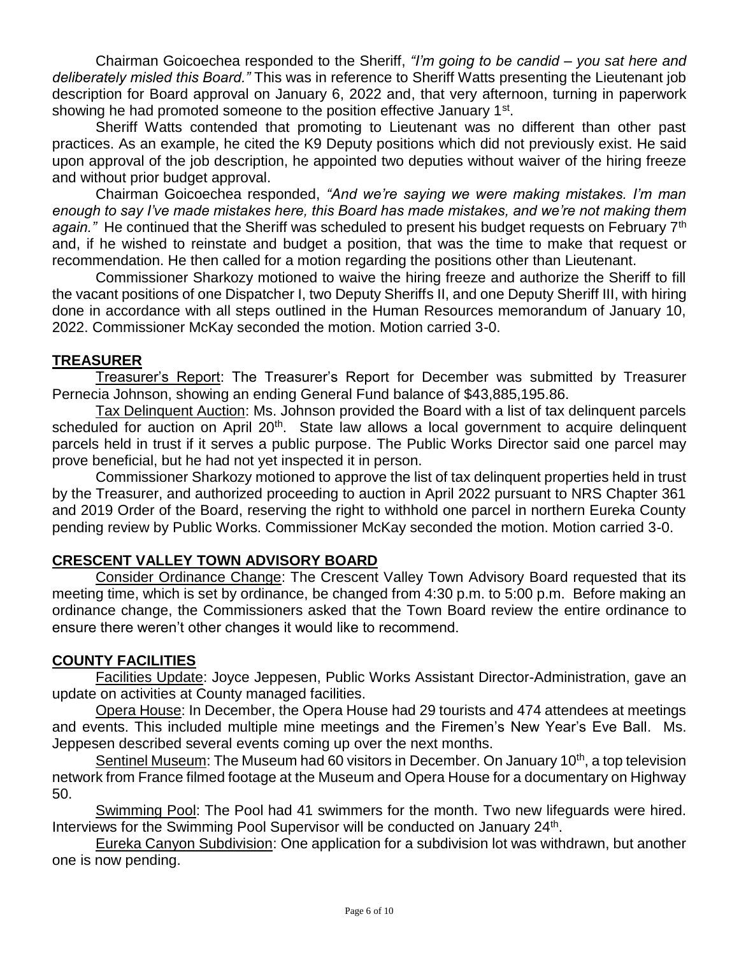Chairman Goicoechea responded to the Sheriff, *"I'm going to be candid – you sat here and deliberately misled this Board."* This was in reference to Sheriff Watts presenting the Lieutenant job description for Board approval on January 6, 2022 and, that very afternoon, turning in paperwork showing he had promoted someone to the position effective January 1<sup>st</sup>.

Sheriff Watts contended that promoting to Lieutenant was no different than other past practices. As an example, he cited the K9 Deputy positions which did not previously exist. He said upon approval of the job description, he appointed two deputies without waiver of the hiring freeze and without prior budget approval.

Chairman Goicoechea responded, *"And we're saying we were making mistakes. I'm man enough to say I've made mistakes here, this Board has made mistakes, and we're not making them*  again." He continued that the Sheriff was scheduled to present his budget requests on February 7<sup>th</sup> and, if he wished to reinstate and budget a position, that was the time to make that request or recommendation. He then called for a motion regarding the positions other than Lieutenant.

Commissioner Sharkozy motioned to waive the hiring freeze and authorize the Sheriff to fill the vacant positions of one Dispatcher I, two Deputy Sheriffs II, and one Deputy Sheriff III, with hiring done in accordance with all steps outlined in the Human Resources memorandum of January 10, 2022. Commissioner McKay seconded the motion. Motion carried 3-0.

## **TREASURER**

Treasurer's Report: The Treasurer's Report for December was submitted by Treasurer Pernecia Johnson, showing an ending General Fund balance of \$43,885,195.86.

Tax Delinquent Auction: Ms. Johnson provided the Board with a list of tax delinquent parcels scheduled for auction on April 20<sup>th</sup>. State law allows a local government to acquire delinquent parcels held in trust if it serves a public purpose. The Public Works Director said one parcel may prove beneficial, but he had not yet inspected it in person.

Commissioner Sharkozy motioned to approve the list of tax delinquent properties held in trust by the Treasurer, and authorized proceeding to auction in April 2022 pursuant to NRS Chapter 361 and 2019 Order of the Board, reserving the right to withhold one parcel in northern Eureka County pending review by Public Works. Commissioner McKay seconded the motion. Motion carried 3-0.

# **CRESCENT VALLEY TOWN ADVISORY BOARD**

Consider Ordinance Change: The Crescent Valley Town Advisory Board requested that its meeting time, which is set by ordinance, be changed from 4:30 p.m. to 5:00 p.m. Before making an ordinance change, the Commissioners asked that the Town Board review the entire ordinance to ensure there weren't other changes it would like to recommend.

## **COUNTY FACILITIES**

Facilities Update: Joyce Jeppesen, Public Works Assistant Director-Administration, gave an update on activities at County managed facilities.

Opera House: In December, the Opera House had 29 tourists and 474 attendees at meetings and events. This included multiple mine meetings and the Firemen's New Year's Eve Ball. Ms. Jeppesen described several events coming up over the next months.

Sentinel Museum: The Museum had 60 visitors in December. On January 10<sup>th</sup>, a top television network from France filmed footage at the Museum and Opera House for a documentary on Highway 50.

Swimming Pool: The Pool had 41 swimmers for the month. Two new lifeguards were hired. Interviews for the Swimming Pool Supervisor will be conducted on January 24<sup>th</sup>.

Eureka Canyon Subdivision: One application for a subdivision lot was withdrawn, but another one is now pending.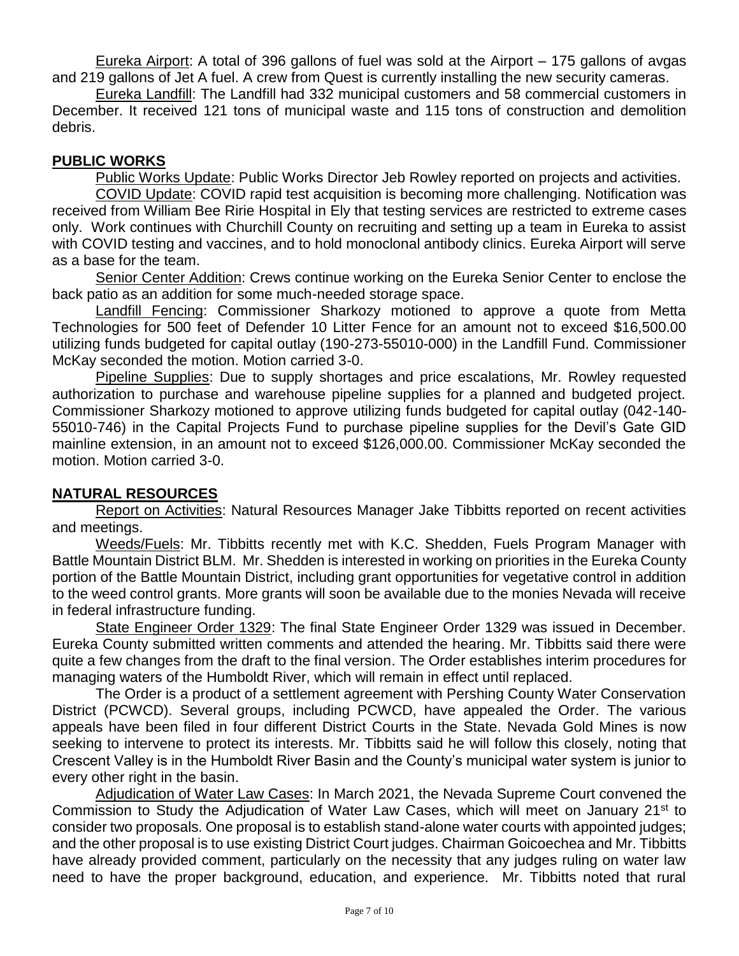Eureka Airport: A total of 396 gallons of fuel was sold at the Airport – 175 gallons of avgas and 219 gallons of Jet A fuel. A crew from Quest is currently installing the new security cameras.

Eureka Landfill: The Landfill had 332 municipal customers and 58 commercial customers in December. It received 121 tons of municipal waste and 115 tons of construction and demolition debris.

## **PUBLIC WORKS**

Public Works Update: Public Works Director Jeb Rowley reported on projects and activities.

COVID Update: COVID rapid test acquisition is becoming more challenging. Notification was received from William Bee Ririe Hospital in Ely that testing services are restricted to extreme cases only. Work continues with Churchill County on recruiting and setting up a team in Eureka to assist with COVID testing and vaccines, and to hold monoclonal antibody clinics. Eureka Airport will serve as a base for the team.

Senior Center Addition: Crews continue working on the Eureka Senior Center to enclose the back patio as an addition for some much-needed storage space.

Landfill Fencing: Commissioner Sharkozy motioned to approve a quote from Metta Technologies for 500 feet of Defender 10 Litter Fence for an amount not to exceed \$16,500.00 utilizing funds budgeted for capital outlay (190-273-55010-000) in the Landfill Fund. Commissioner McKay seconded the motion. Motion carried 3-0.

Pipeline Supplies: Due to supply shortages and price escalations, Mr. Rowley requested authorization to purchase and warehouse pipeline supplies for a planned and budgeted project. Commissioner Sharkozy motioned to approve utilizing funds budgeted for capital outlay (042-140- 55010-746) in the Capital Projects Fund to purchase pipeline supplies for the Devil's Gate GID mainline extension, in an amount not to exceed \$126,000.00. Commissioner McKay seconded the motion. Motion carried 3-0.

## **NATURAL RESOURCES**

Report on Activities: Natural Resources Manager Jake Tibbitts reported on recent activities and meetings.

Weeds/Fuels: Mr. Tibbitts recently met with K.C. Shedden, Fuels Program Manager with Battle Mountain District BLM. Mr. Shedden is interested in working on priorities in the Eureka County portion of the Battle Mountain District, including grant opportunities for vegetative control in addition to the weed control grants. More grants will soon be available due to the monies Nevada will receive in federal infrastructure funding.

State Engineer Order 1329: The final State Engineer Order 1329 was issued in December. Eureka County submitted written comments and attended the hearing. Mr. Tibbitts said there were quite a few changes from the draft to the final version. The Order establishes interim procedures for managing waters of the Humboldt River, which will remain in effect until replaced.

The Order is a product of a settlement agreement with Pershing County Water Conservation District (PCWCD). Several groups, including PCWCD, have appealed the Order. The various appeals have been filed in four different District Courts in the State. Nevada Gold Mines is now seeking to intervene to protect its interests. Mr. Tibbitts said he will follow this closely, noting that Crescent Valley is in the Humboldt River Basin and the County's municipal water system is junior to every other right in the basin.

Adjudication of Water Law Cases: In March 2021, the Nevada Supreme Court convened the Commission to Study the Adjudication of Water Law Cases, which will meet on January 21<sup>st</sup> to consider two proposals. One proposal is to establish stand-alone water courts with appointed judges; and the other proposal is to use existing District Court judges. Chairman Goicoechea and Mr. Tibbitts have already provided comment, particularly on the necessity that any judges ruling on water law need to have the proper background, education, and experience. Mr. Tibbitts noted that rural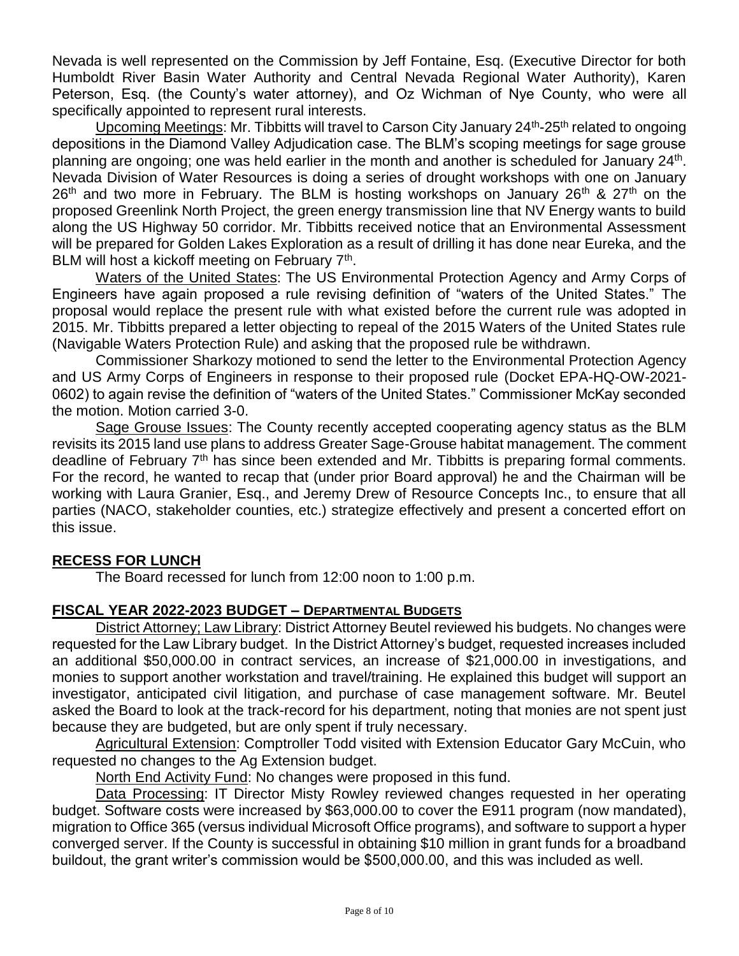Nevada is well represented on the Commission by Jeff Fontaine, Esq. (Executive Director for both Humboldt River Basin Water Authority and Central Nevada Regional Water Authority), Karen Peterson, Esq. (the County's water attorney), and Oz Wichman of Nye County, who were all specifically appointed to represent rural interests.

Upcoming Meetings: Mr. Tibbitts will travel to Carson City January 24<sup>th</sup>-25<sup>th</sup> related to ongoing depositions in the Diamond Valley Adjudication case. The BLM's scoping meetings for sage grouse planning are ongoing; one was held earlier in the month and another is scheduled for January 24<sup>th</sup>. Nevada Division of Water Resources is doing a series of drought workshops with one on January  $26<sup>th</sup>$  and two more in February. The BLM is hosting workshops on January  $26<sup>th</sup>$  &  $27<sup>th</sup>$  on the proposed Greenlink North Project, the green energy transmission line that NV Energy wants to build along the US Highway 50 corridor. Mr. Tibbitts received notice that an Environmental Assessment will be prepared for Golden Lakes Exploration as a result of drilling it has done near Eureka, and the BLM will host a kickoff meeting on February 7<sup>th</sup>.

Waters of the United States: The US Environmental Protection Agency and Army Corps of Engineers have again proposed a rule revising definition of "waters of the United States." The proposal would replace the present rule with what existed before the current rule was adopted in 2015. Mr. Tibbitts prepared a letter objecting to repeal of the 2015 Waters of the United States rule (Navigable Waters Protection Rule) and asking that the proposed rule be withdrawn.

Commissioner Sharkozy motioned to send the letter to the Environmental Protection Agency and US Army Corps of Engineers in response to their proposed rule (Docket EPA-HQ-OW-2021- 0602) to again revise the definition of "waters of the United States." Commissioner McKay seconded the motion. Motion carried 3-0.

Sage Grouse Issues: The County recently accepted cooperating agency status as the BLM revisits its 2015 land use plans to address Greater Sage-Grouse habitat management. The comment deadline of February 7<sup>th</sup> has since been extended and Mr. Tibbitts is preparing formal comments. For the record, he wanted to recap that (under prior Board approval) he and the Chairman will be working with Laura Granier, Esq., and Jeremy Drew of Resource Concepts Inc., to ensure that all parties (NACO, stakeholder counties, etc.) strategize effectively and present a concerted effort on this issue.

# **RECESS FOR LUNCH**

The Board recessed for lunch from 12:00 noon to 1:00 p.m.

## **FISCAL YEAR 2022-2023 BUDGET – DEPARTMENTAL BUDGETS**

District Attorney; Law Library: District Attorney Beutel reviewed his budgets. No changes were requested for the Law Library budget. In the District Attorney's budget, requested increases included an additional \$50,000.00 in contract services, an increase of \$21,000.00 in investigations, and monies to support another workstation and travel/training. He explained this budget will support an investigator, anticipated civil litigation, and purchase of case management software. Mr. Beutel asked the Board to look at the track-record for his department, noting that monies are not spent just because they are budgeted, but are only spent if truly necessary.

Agricultural Extension: Comptroller Todd visited with Extension Educator Gary McCuin, who requested no changes to the Ag Extension budget.

North End Activity Fund: No changes were proposed in this fund.

Data Processing: IT Director Misty Rowley reviewed changes requested in her operating budget. Software costs were increased by \$63,000.00 to cover the E911 program (now mandated), migration to Office 365 (versus individual Microsoft Office programs), and software to support a hyper converged server. If the County is successful in obtaining \$10 million in grant funds for a broadband buildout, the grant writer's commission would be \$500,000.00, and this was included as well.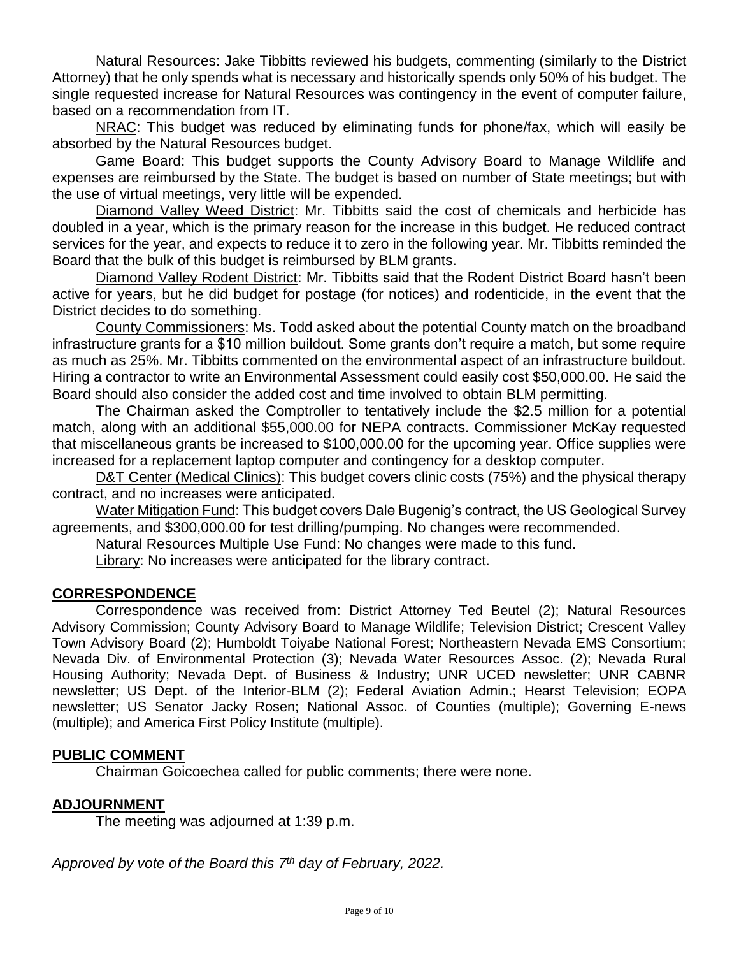Natural Resources: Jake Tibbitts reviewed his budgets, commenting (similarly to the District Attorney) that he only spends what is necessary and historically spends only 50% of his budget. The single requested increase for Natural Resources was contingency in the event of computer failure, based on a recommendation from IT.

NRAC: This budget was reduced by eliminating funds for phone/fax, which will easily be absorbed by the Natural Resources budget.

Game Board: This budget supports the County Advisory Board to Manage Wildlife and expenses are reimbursed by the State. The budget is based on number of State meetings; but with the use of virtual meetings, very little will be expended.

Diamond Valley Weed District: Mr. Tibbitts said the cost of chemicals and herbicide has doubled in a year, which is the primary reason for the increase in this budget. He reduced contract services for the year, and expects to reduce it to zero in the following year. Mr. Tibbitts reminded the Board that the bulk of this budget is reimbursed by BLM grants.

Diamond Valley Rodent District: Mr. Tibbitts said that the Rodent District Board hasn't been active for years, but he did budget for postage (for notices) and rodenticide, in the event that the District decides to do something.

County Commissioners: Ms. Todd asked about the potential County match on the broadband infrastructure grants for a \$10 million buildout. Some grants don't require a match, but some require as much as 25%. Mr. Tibbitts commented on the environmental aspect of an infrastructure buildout. Hiring a contractor to write an Environmental Assessment could easily cost \$50,000.00. He said the Board should also consider the added cost and time involved to obtain BLM permitting.

The Chairman asked the Comptroller to tentatively include the \$2.5 million for a potential match, along with an additional \$55,000.00 for NEPA contracts. Commissioner McKay requested that miscellaneous grants be increased to \$100,000.00 for the upcoming year. Office supplies were increased for a replacement laptop computer and contingency for a desktop computer.

D&T Center (Medical Clinics): This budget covers clinic costs (75%) and the physical therapy contract, and no increases were anticipated.

Water Mitigation Fund: This budget covers Dale Bugenig's contract, the US Geological Survey agreements, and \$300,000.00 for test drilling/pumping. No changes were recommended.

Natural Resources Multiple Use Fund: No changes were made to this fund.

Library: No increases were anticipated for the library contract.

#### **CORRESPONDENCE**

Correspondence was received from: District Attorney Ted Beutel (2); Natural Resources Advisory Commission; County Advisory Board to Manage Wildlife; Television District; Crescent Valley Town Advisory Board (2); Humboldt Toiyabe National Forest; Northeastern Nevada EMS Consortium; Nevada Div. of Environmental Protection (3); Nevada Water Resources Assoc. (2); Nevada Rural Housing Authority; Nevada Dept. of Business & Industry; UNR UCED newsletter; UNR CABNR newsletter; US Dept. of the Interior-BLM (2); Federal Aviation Admin.; Hearst Television; EOPA newsletter; US Senator Jacky Rosen; National Assoc. of Counties (multiple); Governing E-news (multiple); and America First Policy Institute (multiple).

#### **PUBLIC COMMENT**

Chairman Goicoechea called for public comments; there were none.

## **ADJOURNMENT**

The meeting was adjourned at 1:39 p.m.

*Approved by vote of the Board this 7 th day of February, 2022.*